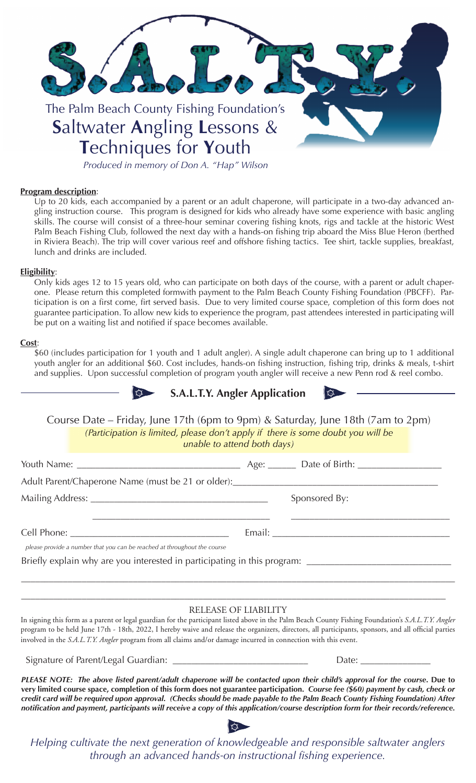

**T**echniques for **Y**outh

*Produced in memory of Don A. "Hap" Wilson*

#### **Program description**:

Up to 20 kids, each accompanied by a parent or an adult chaperone, will participate in a two-day advanced angling instruction course. This program is designed for kids who already have some experience with basic angling skills. The course will consist of a three-hour seminar covering fishing knots, rigs and tackle at the historic West Palm Beach Fishing Club, followed the next day with a hands-on fishing trip aboard the Miss Blue Heron (berthed in Riviera Beach). The trip will cover various reef and offshore fishing tactics. Tee shirt, tackle supplies, breakfast, lunch and drinks are included.

### **Eligibility**:

Only kids ages 12 to 15 years old, who can participate on both days of the course, with a parent or adult chaperone. Please return this completed formwith payment to the Palm Beach County Fishing Foundation (PBCFF). Participation is on a first come, firt served basis. Due to very limited course space, completion of this form does not guarantee participation. To allow new kids to experience the program, past attendees interested in participating will be put on a waiting list and notified if space becomes available.

#### **Cost**:

\$60 (includes participation for 1 youth and 1 adult angler). A single adult chaperone can bring up to 1 additional youth angler for an additional \$60. Cost includes, hands-on fishing instruction, fishing trip, drinks & meals, t-shirt and supplies. Upon successful completion of program youth angler will receive a new Penn rod & reel combo.





Course Date – Friday, June 17th (6pm to 9pm) & Saturday, June 18th (7am to 2pm) *(Participation is limited, please don't apply if there is some doubt you will be unable to attend both days)*

|                                                                                                      |  | Sponsored By: |
|------------------------------------------------------------------------------------------------------|--|---------------|
|                                                                                                      |  |               |
|                                                                                                      |  |               |
| please provide a number that you can be reached at throughout the course                             |  |               |
| Briefly explain why are you interested in participating in this program: ___________________________ |  |               |
|                                                                                                      |  |               |
|                                                                                                      |  |               |
|                                                                                                      |  |               |

#### RELEASE OF LIABILITY

In signing this form as a parent or legal guardian for the participant listed above in the Palm Beach County Fishing Foundation's *S.A.L.T.Y. Angler* program to be held June 17th - 18th, 2022, I hereby waive and release the organizers, directors, all participants, sponsors, and all official parties involved in the *S.A.L.T.Y. Angler* program from all claims and/or damage incurred in connection with this event.

Signature of Parent/Legal Guardian: \_\_\_\_\_\_\_\_\_\_\_\_\_\_\_\_\_\_\_\_\_\_\_\_\_\_\_\_\_ Date: \_\_\_\_\_\_\_\_\_\_\_\_\_\_\_

*PLEASE NOTE: The above listed parent/adult chaperone will be contacted upon their child's approval for the course***. Due to very limited course space, completion of this form does not guarantee participation.** *Course fee (\$60) payment by cash, check or credit card will be required upon approval. (Checks should be made payable to the Palm Beach County Fishing Foundation) After notifi cation and payment, participants will receive a copy of this application/course description form for their records/reference.*



*Helping cultivate the next generation of knowledgeable and responsible saltwater anglers through an advanced hands-on instructional fi shing experience.*